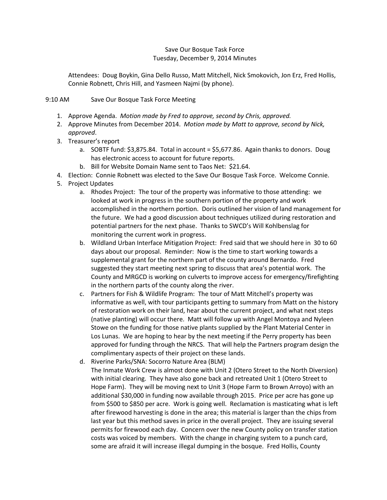## Save Our Bosque Task Force Tuesday, December 9, 2014 Minutes

Attendees: Doug Boykin, Gina Dello Russo, Matt Mitchell, Nick Smokovich, Jon Erz, Fred Hollis, Connie Robnett, Chris Hill, and Yasmeen Najmi (by phone).

## 9:10 AM Save Our Bosque Task Force Meeting

- 1. Approve Agenda. *Motion made by Fred to approve, second by Chris, approved.*
- 2. Approve Minutes from December 2014. *Motion made by Matt to approve, second by Nick, approved*.
- 3. Treasurer's report
	- a. SOBTF fund:  $$3,875.84$ . Total in account =  $$5,677.86$ . Again thanks to donors. Doug has electronic access to account for future reports.
	- b. Bill for Website Domain Name sent to Taos Net: \$21.64.
- 4. Election: Connie Robnett was elected to the Save Our Bosque Task Force. Welcome Connie.
- 5. Project Updates
	- a. Rhodes Project: The tour of the property was informative to those attending: we looked at work in progress in the southern portion of the property and work accomplished in the northern portion. Doris outlined her vision of land management for the future. We had a good discussion about techniques utilized during restoration and potential partners for the next phase. Thanks to SWCD's Will Kohlbenslag for monitoring the current work in progress.
	- b. Wildland Urban Interface Mitigation Project: Fred said that we should here in 30 to 60 days about our proposal. Reminder: Now is the time to start working towards a supplemental grant for the northern part of the county around Bernardo. Fred suggested they start meeting next spring to discuss that area's potential work. The County and MRGCD is working on culverts to improve access for emergency/firefighting in the northern parts of the county along the river.
	- c. Partners for Fish & Wildlife Program: The tour of Matt Mitchell's property was informative as well, with tour participants getting to summary from Matt on the history of restoration work on their land, hear about the current project, and what next steps (native planting) will occur there. Matt will follow up with Angel Montoya and Nyleen Stowe on the funding for those native plants supplied by the Plant Material Center in Los Lunas. We are hoping to hear by the next meeting if the Perry property has been approved for funding through the NRCS. That will help the Partners program design the complimentary aspects of their project on these lands.
	- d. Riverine Parks/SNA: Socorro Nature Area (BLM) The Inmate Work Crew is almost done with Unit 2 (Otero Street to the North Diversion) with initial clearing. They have also gone back and retreated Unit 1 (Otero Street to Hope Farm). They will be moving next to Unit 3 (Hope Farm to Brown Arroyo) with an additional \$30,000 in funding now available through 2015. Price per acre has gone up from \$500 to \$850 per acre. Work is going well. Reclamation is masticating what is left after firewood harvesting is done in the area; this material is larger than the chips from last year but this method saves in price in the overall project. They are issuing several permits for firewood each day. Concern over the new County policy on transfer station costs was voiced by members. With the change in charging system to a punch card, some are afraid it will increase illegal dumping in the bosque. Fred Hollis, County